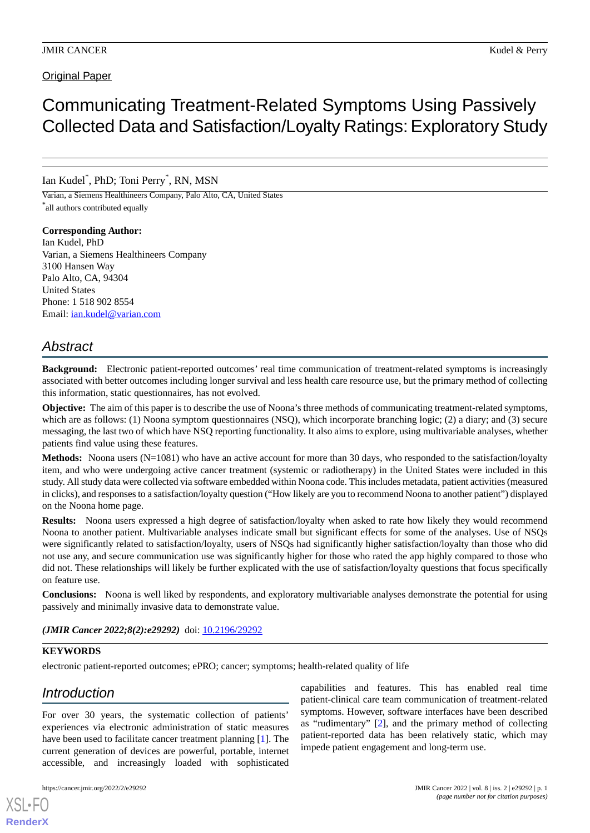## **Original Paper**

# Communicating Treatment-Related Symptoms Using Passively Collected Data and Satisfaction/Loyalty Ratings:Exploratory Study

# Ian Kudel\* , PhD; Toni Perry\* , RN, MSN

Varian, a Siemens Healthineers Company, Palo Alto, CA, United States \* all authors contributed equally

#### **Corresponding Author:**

Ian Kudel, PhD Varian, a Siemens Healthineers Company 3100 Hansen Way Palo Alto, CA, 94304 United States Phone: 1 518 902 8554 Email: *[ian.kudel@varian.com](mailto:ian.kudel@varian.com)* 

# *Abstract*

**Background:** Electronic patient-reported outcomes' real time communication of treatment-related symptoms is increasingly associated with better outcomes including longer survival and less health care resource use, but the primary method of collecting this information, static questionnaires, has not evolved.

**Objective:** The aim of this paper is to describe the use of Noona's three methods of communicating treatment-related symptoms, which are as follows: (1) Noona symptom questionnaires (NSQ), which incorporate branching logic; (2) a diary; and (3) secure messaging, the last two of which have NSQ reporting functionality. It also aims to explore, using multivariable analyses, whether patients find value using these features.

**Methods:** Noona users (N=1081) who have an active account for more than 30 days, who responded to the satisfaction/loyalty item, and who were undergoing active cancer treatment (systemic or radiotherapy) in the United States were included in this study. All study data were collected via software embedded within Noona code. This includes metadata, patient activities (measured in clicks), and responses to a satisfaction/loyalty question ("How likely are you to recommend Noona to another patient") displayed on the Noona home page.

**Results:** Noona users expressed a high degree of satisfaction/loyalty when asked to rate how likely they would recommend Noona to another patient. Multivariable analyses indicate small but significant effects for some of the analyses. Use of NSQs were significantly related to satisfaction/loyalty, users of NSQs had significantly higher satisfaction/loyalty than those who did not use any, and secure communication use was significantly higher for those who rated the app highly compared to those who did not. These relationships will likely be further explicated with the use of satisfaction/loyalty questions that focus specifically on feature use.

**Conclusions:** Noona is well liked by respondents, and exploratory multivariable analyses demonstrate the potential for using passively and minimally invasive data to demonstrate value.

*(JMIR Cancer 2022;8(2):e29292)* doi: [10.2196/29292](http://dx.doi.org/10.2196/29292)

#### **KEYWORDS**

electronic patient-reported outcomes; ePRO; cancer; symptoms; health-related quality of life

# *Introduction*

For over 30 years, the systematic collection of patients' experiences via electronic administration of static measures have been used to facilitate cancer treatment planning [[1\]](#page-7-0). The current generation of devices are powerful, portable, internet accessible, and increasingly loaded with sophisticated

[XSL](http://www.w3.org/Style/XSL)•FO **[RenderX](http://www.renderx.com/)**

capabilities and features. This has enabled real time patient-clinical care team communication of treatment-related symptoms. However, software interfaces have been described as "rudimentary" [\[2](#page-7-1)], and the primary method of collecting patient-reported data has been relatively static, which may impede patient engagement and long-term use.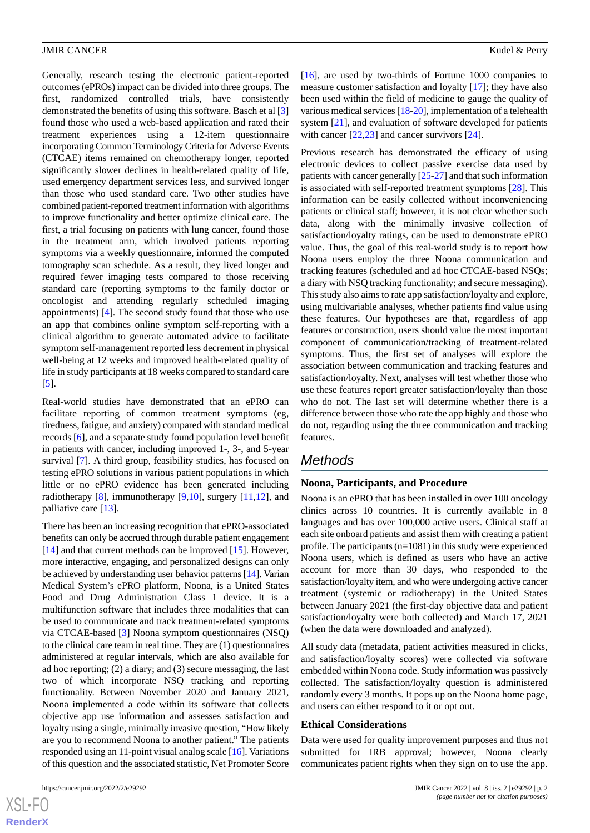Generally, research testing the electronic patient-reported outcomes (ePROs) impact can be divided into three groups. The first, randomized controlled trials, have consistently demonstrated the benefits of using this software. Basch et al [\[3](#page-7-2)] found those who used a web-based application and rated their treatment experiences using a 12-item questionnaire incorporating Common Terminology Criteria for Adverse Events (CTCAE) items remained on chemotherapy longer, reported significantly slower declines in health-related quality of life, used emergency department services less, and survived longer than those who used standard care. Two other studies have combined patient-reported treatment information with algorithms to improve functionality and better optimize clinical care. The first, a trial focusing on patients with lung cancer, found those in the treatment arm, which involved patients reporting symptoms via a weekly questionnaire, informed the computed tomography scan schedule. As a result, they lived longer and required fewer imaging tests compared to those receiving standard care (reporting symptoms to the family doctor or oncologist and attending regularly scheduled imaging appointments) [[4\]](#page-7-3). The second study found that those who use an app that combines online symptom self-reporting with a clinical algorithm to generate automated advice to facilitate symptom self-management reported less decrement in physical well-being at 12 weeks and improved health-related quality of life in study participants at 18 weeks compared to standard care [[5\]](#page-7-4).

Real-world studies have demonstrated that an ePRO can facilitate reporting of common treatment symptoms (eg, tiredness, fatigue, and anxiety) compared with standard medical records [\[6](#page-7-5)], and a separate study found population level benefit in patients with cancer, including improved 1-, 3-, and 5-year survival [\[7\]](#page-7-6). A third group, feasibility studies, has focused on testing ePRO solutions in various patient populations in which little or no ePRO evidence has been generated including radiotherapy [\[8](#page-7-7)], immunotherapy [\[9](#page-7-8)[,10](#page-7-9)], surgery [[11,](#page-7-10)[12](#page-7-11)], and palliative care [\[13](#page-7-12)].

There has been an increasing recognition that ePRO-associated benefits can only be accrued through durable patient engagement [[14\]](#page-8-0) and that current methods can be improved [\[15](#page-8-1)]. However, more interactive, engaging, and personalized designs can only be achieved by understanding user behavior patterns [[14\]](#page-8-0). Varian Medical System's ePRO platform, Noona, is a United States Food and Drug Administration Class 1 device. It is a multifunction software that includes three modalities that can be used to communicate and track treatment-related symptoms via CTCAE-based [[3\]](#page-7-2) Noona symptom questionnaires (NSQ) to the clinical care team in real time. They are (1) questionnaires administered at regular intervals, which are also available for ad hoc reporting; (2) a diary; and (3) secure messaging, the last two of which incorporate NSQ tracking and reporting functionality. Between November 2020 and January 2021, Noona implemented a code within its software that collects objective app use information and assesses satisfaction and loyalty using a single, minimally invasive question, "How likely are you to recommend Noona to another patient." The patients responded using an 11-point visual analog scale [\[16\]](#page-8-2). Variations of this question and the associated statistic, Net Promoter Score

 $XS$  $\cdot$ FC **[RenderX](http://www.renderx.com/)**

[[16\]](#page-8-2), are used by two-thirds of Fortune 1000 companies to measure customer satisfaction and loyalty [\[17](#page-8-3)]; they have also been used within the field of medicine to gauge the quality of various medical services [\[18](#page-8-4)[-20\]](#page-8-5), implementation of a telehealth system [\[21](#page-8-6)], and evaluation of software developed for patients with cancer [[22](#page-8-7)[,23](#page-8-8)] and cancer survivors [\[24](#page-8-9)].

Previous research has demonstrated the efficacy of using electronic devices to collect passive exercise data used by patients with cancer generally [\[25](#page-8-10)[-27](#page-8-11)] and that such information is associated with self-reported treatment symptoms [[28\]](#page-8-12). This information can be easily collected without inconveniencing patients or clinical staff; however, it is not clear whether such data, along with the minimally invasive collection of satisfaction/loyalty ratings, can be used to demonstrate ePRO value. Thus, the goal of this real-world study is to report how Noona users employ the three Noona communication and tracking features (scheduled and ad hoc CTCAE-based NSQs; a diary with NSQ tracking functionality; and secure messaging). This study also aims to rate app satisfaction/loyalty and explore, using multivariable analyses, whether patients find value using these features. Our hypotheses are that, regardless of app features or construction, users should value the most important component of communication/tracking of treatment-related symptoms. Thus, the first set of analyses will explore the association between communication and tracking features and satisfaction/loyalty. Next, analyses will test whether those who use these features report greater satisfaction/loyalty than those who do not. The last set will determine whether there is a difference between those who rate the app highly and those who do not, regarding using the three communication and tracking features.

# *Methods*

#### **Noona, Participants, and Procedure**

Noona is an ePRO that has been installed in over 100 oncology clinics across 10 countries. It is currently available in 8 languages and has over 100,000 active users. Clinical staff at each site onboard patients and assist them with creating a patient profile. The participants (n=1081) in this study were experienced Noona users, which is defined as users who have an active account for more than 30 days, who responded to the satisfaction/loyalty item, and who were undergoing active cancer treatment (systemic or radiotherapy) in the United States between January 2021 (the first-day objective data and patient satisfaction/loyalty were both collected) and March 17, 2021 (when the data were downloaded and analyzed).

All study data (metadata, patient activities measured in clicks, and satisfaction/loyalty scores) were collected via software embedded within Noona code. Study information was passively collected. The satisfaction/loyalty question is administered randomly every 3 months. It pops up on the Noona home page, and users can either respond to it or opt out.

#### **Ethical Considerations**

Data were used for quality improvement purposes and thus not submitted for IRB approval; however, Noona clearly communicates patient rights when they sign on to use the app.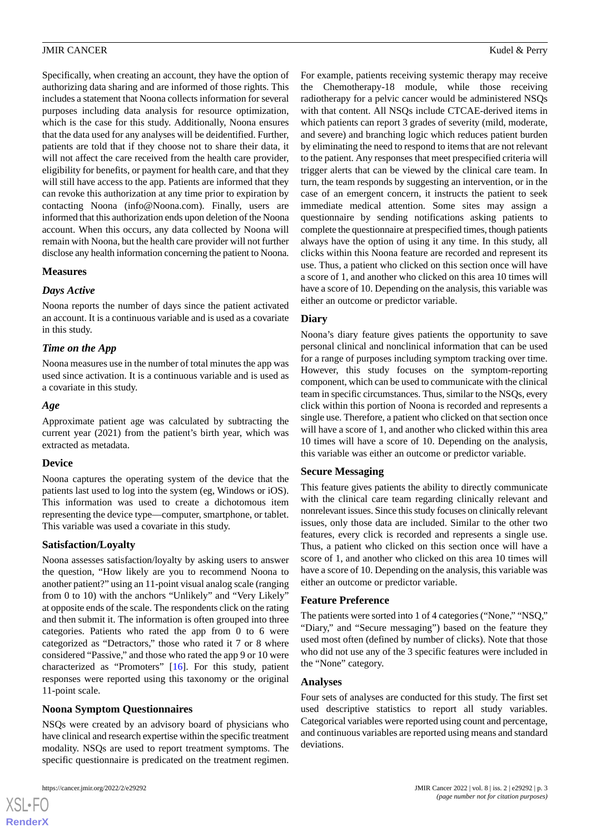Specifically, when creating an account, they have the option of authorizing data sharing and are informed of those rights. This includes a statement that Noona collects information for several purposes including data analysis for resource optimization, which is the case for this study. Additionally, Noona ensures that the data used for any analyses will be deidentified. Further, patients are told that if they choose not to share their data, it will not affect the care received from the health care provider, eligibility for benefits, or payment for health care, and that they will still have access to the app. Patients are informed that they can revoke this authorization at any time prior to expiration by contacting Noona (info@Noona.com). Finally, users are informed that this authorization ends upon deletion of the Noona account. When this occurs, any data collected by Noona will remain with Noona, but the health care provider will not further disclose any health information concerning the patient to Noona.

#### **Measures**

#### *Days Active*

Noona reports the number of days since the patient activated an account. It is a continuous variable and is used as a covariate in this study.

## *Time on the App*

Noona measures use in the number of total minutes the app was used since activation. It is a continuous variable and is used as a covariate in this study.

#### *Age*

Approximate patient age was calculated by subtracting the current year (2021) from the patient's birth year, which was extracted as metadata.

#### **Device**

Noona captures the operating system of the device that the patients last used to log into the system (eg, Windows or iOS). This information was used to create a dichotomous item representing the device type—computer, smartphone, or tablet. This variable was used a covariate in this study.

## **Satisfaction/Loyalty**

Noona assesses satisfaction/loyalty by asking users to answer the question, "How likely are you to recommend Noona to another patient?" using an 11-point visual analog scale (ranging from 0 to 10) with the anchors "Unlikely" and "Very Likely" at opposite ends of the scale. The respondents click on the rating and then submit it. The information is often grouped into three categories. Patients who rated the app from 0 to 6 were categorized as "Detractors," those who rated it 7 or 8 where considered "Passive," and those who rated the app 9 or 10 were characterized as "Promoters" [\[16](#page-8-2)]. For this study, patient responses were reported using this taxonomy or the original 11-point scale.

## **Noona Symptom Questionnaires**

NSQs were created by an advisory board of physicians who have clinical and research expertise within the specific treatment modality. NSQs are used to report treatment symptoms. The specific questionnaire is predicated on the treatment regimen.

[XSL](http://www.w3.org/Style/XSL)•FO **[RenderX](http://www.renderx.com/)**

For example, patients receiving systemic therapy may receive the Chemotherapy-18 module, while those receiving radiotherapy for a pelvic cancer would be administered NSQs with that content. All NSQs include CTCAE-derived items in which patients can report 3 grades of severity (mild, moderate, and severe) and branching logic which reduces patient burden by eliminating the need to respond to items that are not relevant to the patient. Any responses that meet prespecified criteria will trigger alerts that can be viewed by the clinical care team. In turn, the team responds by suggesting an intervention, or in the case of an emergent concern, it instructs the patient to seek immediate medical attention. Some sites may assign a questionnaire by sending notifications asking patients to complete the questionnaire at prespecified times, though patients always have the option of using it any time. In this study, all clicks within this Noona feature are recorded and represent its use. Thus, a patient who clicked on this section once will have a score of 1, and another who clicked on this area 10 times will have a score of 10. Depending on the analysis, this variable was either an outcome or predictor variable.

#### **Diary**

Noona's diary feature gives patients the opportunity to save personal clinical and nonclinical information that can be used for a range of purposes including symptom tracking over time. However, this study focuses on the symptom-reporting component, which can be used to communicate with the clinical team in specific circumstances. Thus, similar to the NSQs, every click within this portion of Noona is recorded and represents a single use. Therefore, a patient who clicked on that section once will have a score of 1, and another who clicked within this area 10 times will have a score of 10. Depending on the analysis, this variable was either an outcome or predictor variable.

## **Secure Messaging**

This feature gives patients the ability to directly communicate with the clinical care team regarding clinically relevant and nonrelevant issues. Since this study focuses on clinically relevant issues, only those data are included. Similar to the other two features, every click is recorded and represents a single use. Thus, a patient who clicked on this section once will have a score of 1, and another who clicked on this area 10 times will have a score of 10. Depending on the analysis, this variable was either an outcome or predictor variable.

## **Feature Preference**

The patients were sorted into 1 of 4 categories ("None," "NSQ," "Diary," and "Secure messaging") based on the feature they used most often (defined by number of clicks). Note that those who did not use any of the 3 specific features were included in the "None" category.

#### **Analyses**

Four sets of analyses are conducted for this study. The first set used descriptive statistics to report all study variables. Categorical variables were reported using count and percentage, and continuous variables are reported using means and standard deviations.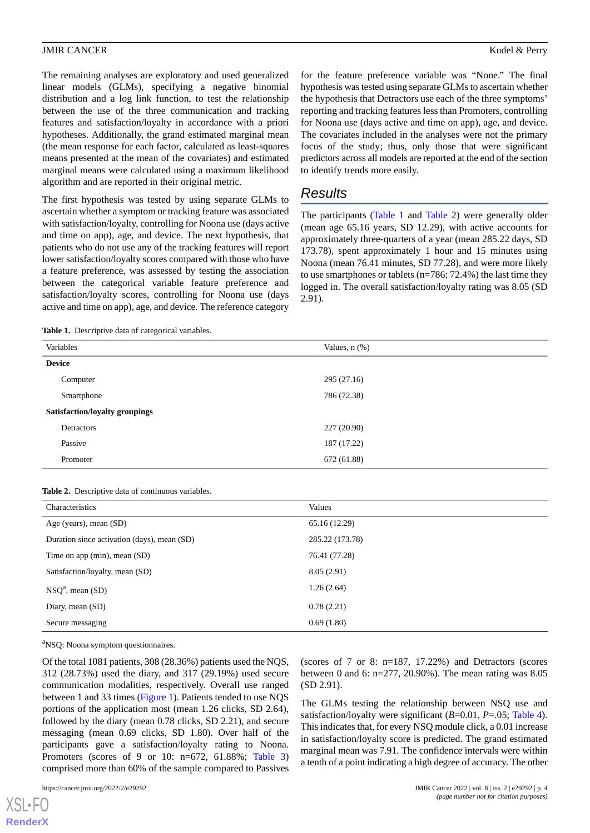The remaining analyses are exploratory and used generalized linear models (GLMs), specifying a negative binomial distribution and a log link function, to test the relationship between the use of the three communication and tracking features and satisfaction/loyalty in accordance with a priori hypotheses. Additionally, the grand estimated marginal mean (the mean response for each factor, calculated as least-squares means presented at the mean of the covariates) and estimated marginal means were calculated using a maximum likelihood algorithm and are reported in their original metric.

The first hypothesis was tested by using separate GLMs to ascertain whether a symptom or tracking feature was associated with satisfaction/loyalty, controlling for Noona use (days active and time on app), age, and device. The next hypothesis, that patients who do not use any of the tracking features will report lower satisfaction/loyalty scores compared with those who have a feature preference, was assessed by testing the association between the categorical variable feature preference and satisfaction/loyalty scores, controlling for Noona use (days active and time on app), age, and device. The reference category

for the feature preference variable was "None." The final hypothesis was tested using separate GLMs to ascertain whether the hypothesis that Detractors use each of the three symptoms' reporting and tracking features less than Promoters, controlling for Noona use (days active and time on app), age, and device. The covariates included in the analyses were not the primary focus of the study; thus, only those that were significant predictors across all models are reported at the end of the section to identify trends more easily.

# *Results*

The participants ([Table 1](#page-3-0) and [Table 2\)](#page-3-1) were generally older (mean age 65.16 years, SD 12.29), with active accounts for approximately three-quarters of a year (mean 285.22 days, SD 173.78), spent approximately 1 hour and 15 minutes using Noona (mean 76.41 minutes, SD 77.28), and were more likely to use smartphones or tablets (n=786; 72.4%) the last time they logged in. The overall satisfaction/loyalty rating was 8.05 (SD 2.91).

<span id="page-3-0"></span>**Table 1.** Descriptive data of categorical variables.

| Variables                             | Values, $n$ $(\%)$ |  |  |  |
|---------------------------------------|--------------------|--|--|--|
| <b>Device</b>                         |                    |  |  |  |
| Computer                              | 295(27.16)         |  |  |  |
| Smartphone                            | 786 (72.38)        |  |  |  |
| <b>Satisfaction/loyalty groupings</b> |                    |  |  |  |
| Detractors                            | 227 (20.90)        |  |  |  |
| Passive                               | 187 (17.22)        |  |  |  |
| Promoter                              | 672 (61.88)        |  |  |  |

#### <span id="page-3-1"></span>**Table 2.** Descriptive data of continuous variables.

| Characteristics                             | Values          |
|---------------------------------------------|-----------------|
| Age (years), mean (SD)                      | 65.16 (12.29)   |
| Duration since activation (days), mean (SD) | 285.22 (173.78) |
| Time on app (min), mean $(SD)$              | 76.41 (77.28)   |
| Satisfaction/loyalty, mean (SD)             | 8.05(2.91)      |
| $NSQa$ , mean (SD)                          | 1.26(2.64)      |
| Diary, mean (SD)                            | 0.78(2.21)      |
| Secure messaging                            | 0.69(1.80)      |

<sup>a</sup>NSQ: Noona symptom questionnaires.

Of the total 1081 patients, 308 (28.36%) patients used the NQS, 312 (28.73%) used the diary, and 317 (29.19%) used secure communication modalities, respectively. Overall use ranged between 1 and 33 times ([Figure 1](#page-4-0)). Patients tended to use NQS portions of the application most (mean 1.26 clicks, SD 2.64), followed by the diary (mean 0.78 clicks, SD 2.21), and secure messaging (mean 0.69 clicks, SD 1.80). Over half of the participants gave a satisfaction/loyalty rating to Noona. Promoters (scores of 9 or 10: n=672, 61.88%; [Table 3](#page-4-1)) comprised more than 60% of the sample compared to Passives

[XSL](http://www.w3.org/Style/XSL)•FO **[RenderX](http://www.renderx.com/)**

(scores of 7 or 8: n=187, 17.22%) and Detractors (scores between 0 and 6: n=277, 20.90%). The mean rating was 8.05 (SD 2.91).

The GLMs testing the relationship between NSQ use and satisfaction/loyalty were significant (*B*=0.01, *P*=.05; [Table 4\)](#page-5-0). This indicates that, for every NSQ module click, a 0.01 increase in satisfaction/loyalty score is predicted. The grand estimated marginal mean was 7.91. The confidence intervals were within a tenth of a point indicating a high degree of accuracy. The other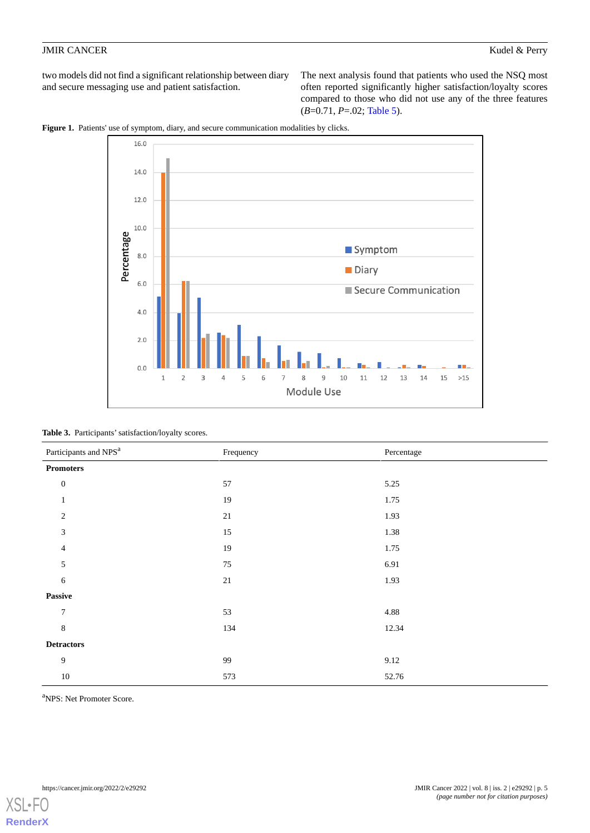two models did not find a significant relationship between diary and secure messaging use and patient satisfaction.

The next analysis found that patients who used the NSQ most often reported significantly higher satisfaction/loyalty scores compared to those who did not use any of the three features (*B*=0.71, *P*=.02; [Table 5](#page-5-1)).

<span id="page-4-0"></span>



<span id="page-4-1"></span>Table 3. Participants' satisfaction/loyalty scores.

| Participants and NPS <sup>a</sup> | Frequency | Percentage |  |
|-----------------------------------|-----------|------------|--|
| <b>Promoters</b>                  |           |            |  |
| $\boldsymbol{0}$                  | 57        | 5.25       |  |
| $\mathbf{1}$                      | 19        | 1.75       |  |
| $\mathfrak{2}$                    | 21        | 1.93       |  |
| 3                                 | $15\,$    | 1.38       |  |
| $\overline{4}$                    | 19        | 1.75       |  |
| 5                                 | 75        | 6.91       |  |
| 6                                 | $21\,$    | 1.93       |  |
| Passive                           |           |            |  |
| $\tau$                            | 53        | 4.88       |  |
| $\,8\,$                           | 134       | 12.34      |  |
| <b>Detractors</b>                 |           |            |  |
| 9                                 | 99        | 9.12       |  |
| $10\,$                            | 573       | 52.76      |  |

<sup>a</sup>NPS: Net Promoter Score.

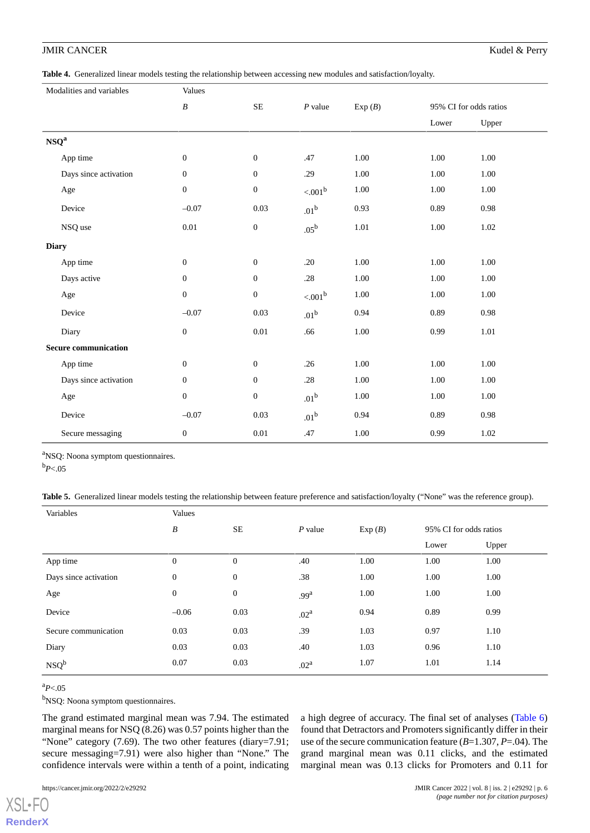<span id="page-5-0"></span>**Table 4.** Generalized linear models testing the relationship between accessing new modules and satisfaction/loyalty.

|                             | Modalities and variables | Values           |                  |                  |          |                        |          |
|-----------------------------|--------------------------|------------------|------------------|------------------|----------|------------------------|----------|
|                             |                          | $\boldsymbol{B}$ | $\rm SE$         | $P$ value        | Exp(B)   | 95% CI for odds ratios |          |
|                             |                          |                  |                  |                  |          | Lower                  | Upper    |
| $NSQ^a$                     |                          |                  |                  |                  |          |                        |          |
|                             | App time                 | $\boldsymbol{0}$ | $\boldsymbol{0}$ | .47              | $1.00\,$ | $1.00\,$               | $1.00\,$ |
|                             | Days since activation    | $\boldsymbol{0}$ | $\boldsymbol{0}$ | .29              | 1.00     | 1.00                   | 1.00     |
|                             | Age                      | $\boldsymbol{0}$ | $\boldsymbol{0}$ | ${<}001^{\rm b}$ | $1.00\,$ | $1.00\,$               | $1.00\,$ |
|                             | Device                   | $-0.07$          | 0.03             | $.01^{\rm b}$    | 0.93     | 0.89                   | 0.98     |
|                             | NSQ use                  | 0.01             | $\boldsymbol{0}$ | $.05^{\rm b}$    | 1.01     | $1.00\,$               | 1.02     |
| <b>Diary</b>                |                          |                  |                  |                  |          |                        |          |
|                             | App time                 | $\mathbf{0}$     | $\boldsymbol{0}$ | .20              | 1.00     | 1.00                   | 1.00     |
|                             | Days active              | $\boldsymbol{0}$ | $\boldsymbol{0}$ | $.28\,$          | 1.00     | 1.00                   | 1.00     |
|                             | Age                      | $\mathbf{0}$     | $\boldsymbol{0}$ | $< 001^{\rm b}$  | $1.00\,$ | 1.00                   | 1.00     |
|                             | Device                   | $-0.07$          | 0.03             | .01 <sup>b</sup> | 0.94     | 0.89                   | 0.98     |
|                             | Diary                    | $\boldsymbol{0}$ | $0.01\,$         | .66              | $1.00\,$ | 0.99                   | 1.01     |
| <b>Secure communication</b> |                          |                  |                  |                  |          |                        |          |
|                             | App time                 | $\boldsymbol{0}$ | $\boldsymbol{0}$ | .26              | 1.00     | 1.00                   | 1.00     |
|                             | Days since activation    | $\boldsymbol{0}$ | $\boldsymbol{0}$ | $.28\,$          | $1.00\,$ | $1.00\,$               | $1.00\,$ |
|                             | Age                      | $\boldsymbol{0}$ | $\boldsymbol{0}$ | .01 <sup>b</sup> | $1.00\,$ | 1.00                   | 1.00     |
|                             | Device                   | $-0.07$          | 0.03             | .01 <sup>b</sup> | 0.94     | 0.89                   | 0.98     |
|                             | Secure messaging         | $\mathbf{0}$     | $0.01\,$         | .47              | 1.00     | 0.99                   | 1.02     |

<span id="page-5-1"></span><sup>a</sup>NSQ: Noona symptom questionnaires.

 $b_{P<.05}$ 

**Table 5.** Generalized linear models testing the relationship between feature preference and satisfaction/loyalty ("None" was the reference group).

| Variables             | Values           |                  |                  |        |                        |       |
|-----------------------|------------------|------------------|------------------|--------|------------------------|-------|
|                       | B                | <b>SE</b>        | $P$ value        | Exp(B) | 95% CI for odds ratios |       |
|                       |                  |                  |                  |        | Lower                  | Upper |
| App time              | $\boldsymbol{0}$ | $\boldsymbol{0}$ | .40              | 1.00   | 1.00                   | 1.00  |
| Days since activation | $\boldsymbol{0}$ | $\mathbf{0}$     | .38              | 1.00   | 1.00                   | 1.00  |
| Age                   | $\boldsymbol{0}$ | $\boldsymbol{0}$ | .99 <sup>a</sup> | 1.00   | 1.00                   | 1.00  |
| Device                | $-0.06$          | 0.03             | .02 <sup>a</sup> | 0.94   | 0.89                   | 0.99  |
| Secure communication  | 0.03             | 0.03             | .39              | 1.03   | 0.97                   | 1.10  |
| Diary                 | 0.03             | 0.03             | .40              | 1.03   | 0.96                   | 1.10  |
| $NSQ^b$               | 0.07             | 0.03             | .02 <sup>a</sup> | 1.07   | 1.01                   | 1.14  |

<sup>a</sup>*P*<.05

[XSL](http://www.w3.org/Style/XSL)•FO **[RenderX](http://www.renderx.com/)**

<sup>b</sup>NSQ: Noona symptom questionnaires.

The grand estimated marginal mean was 7.94. The estimated marginal means for NSQ (8.26) was 0.57 points higher than the "None" category (7.69). The two other features (diary=7.91; secure messaging=7.91) were also higher than "None." The confidence intervals were within a tenth of a point, indicating

a high degree of accuracy. The final set of analyses [\(Table 6](#page-6-0)) found that Detractors and Promoters significantly differ in their use of the secure communication feature (*B*=1.307, *P*=.04). The grand marginal mean was 0.11 clicks, and the estimated marginal mean was 0.13 clicks for Promoters and 0.11 for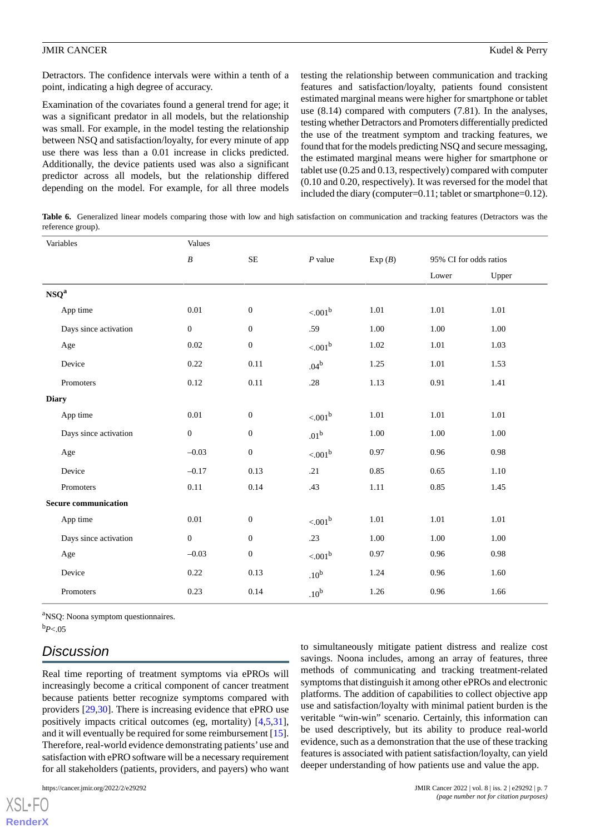Detractors. The confidence intervals were within a tenth of a point, indicating a high degree of accuracy.

Examination of the covariates found a general trend for age; it was a significant predator in all models, but the relationship was small. For example, in the model testing the relationship between NSQ and satisfaction/loyalty, for every minute of app use there was less than a 0.01 increase in clicks predicted. Additionally, the device patients used was also a significant predictor across all models, but the relationship differed depending on the model. For example, for all three models testing the relationship between communication and tracking features and satisfaction/loyalty, patients found consistent estimated marginal means were higher for smartphone or tablet use (8.14) compared with computers (7.81). In the analyses, testing whether Detractors and Promoters differentially predicted the use of the treatment symptom and tracking features, we found that for the models predicting NSQ and secure messaging, the estimated marginal means were higher for smartphone or tablet use (0.25 and 0.13, respectively) compared with computer (0.10 and 0.20, respectively). It was reversed for the model that included the diary (computer=0.11; tablet or smartphone=0.12).

<span id="page-6-0"></span>Table 6. Generalized linear models comparing those with low and high satisfaction on communication and tracking features (Detractors was the reference group).

| Variables                     | Values           |                  |                     |        |                        |       |  |
|-------------------------------|------------------|------------------|---------------------|--------|------------------------|-------|--|
|                               | $\boldsymbol{B}$ | $\rm SE$         | $P$ value           | Exp(B) | 95% CI for odds ratios |       |  |
|                               |                  |                  |                     |        | Lower                  | Upper |  |
| $\ensuremath{\mathbf{NSQ}}^a$ |                  |                  |                     |        |                        |       |  |
| App time                      | 0.01             | $\boldsymbol{0}$ | < 0.01 <sup>b</sup> | 1.01   | 1.01                   | 1.01  |  |
| Days since activation         | $\boldsymbol{0}$ | $\boldsymbol{0}$ | .59                 | 1.00   | 1.00                   | 1.00  |  |
| Age                           | $0.02\,$         | $\boldsymbol{0}$ | $< .001^b$          | 1.02   | 1.01                   | 1.03  |  |
| Device                        | 0.22             | 0.11             | $.04^b$             | 1.25   | 1.01                   | 1.53  |  |
| Promoters                     | 0.12             | 0.11             | $.28\,$             | 1.13   | 0.91                   | 1.41  |  |
| <b>Diary</b>                  |                  |                  |                     |        |                        |       |  |
| App time                      | $0.01\,$         | $\boldsymbol{0}$ | $< 001^{\rm b}$     | 1.01   | 1.01                   | 1.01  |  |
| Days since activation         | $\mathbf{0}$     | $\mathbf{0}$     | .01 <sup>b</sup>    | 1.00   | 1.00                   | 1.00  |  |
| Age                           | $-0.03$          | $\boldsymbol{0}$ | < 0.01 <sup>b</sup> | 0.97   | 0.96                   | 0.98  |  |
| Device                        | $-0.17$          | 0.13             | .21                 | 0.85   | 0.65                   | 1.10  |  |
| Promoters                     | $0.11\,$         | 0.14             | .43                 | 1.11   | 0.85                   | 1.45  |  |
| <b>Secure communication</b>   |                  |                  |                     |        |                        |       |  |
| App time                      | 0.01             | $\boldsymbol{0}$ | < 0.01 <sup>b</sup> | 1.01   | 1.01                   | 1.01  |  |
| Days since activation         | $\boldsymbol{0}$ | $\boldsymbol{0}$ | .23                 | 1.00   | 1.00                   | 1.00  |  |
| Age                           | $-0.03$          | $\boldsymbol{0}$ | $< .001^b$          | 0.97   | 0.96                   | 0.98  |  |
| Device                        | 0.22             | 0.13             | .10 <sup>b</sup>    | 1.24   | 0.96                   | 1.60  |  |
| Promoters                     | 0.23             | 0.14             | .10 <sup>b</sup>    | 1.26   | 0.96                   | 1.66  |  |

<sup>a</sup>NSQ: Noona symptom questionnaires.

 $b_{P<.05}$ 

[XSL](http://www.w3.org/Style/XSL)•FO **[RenderX](http://www.renderx.com/)**

# *Discussion*

Real time reporting of treatment symptoms via ePROs will increasingly become a critical component of cancer treatment because patients better recognize symptoms compared with providers [\[29](#page-8-13),[30\]](#page-8-14). There is increasing evidence that ePRO use positively impacts critical outcomes (eg, mortality) [[4](#page-7-3)[,5](#page-7-4),[31\]](#page-8-15), and it will eventually be required for some reimbursement [[15\]](#page-8-1). Therefore, real-world evidence demonstrating patients'use and satisfaction with ePRO software will be a necessary requirement for all stakeholders (patients, providers, and payers) who want

to simultaneously mitigate patient distress and realize cost savings. Noona includes, among an array of features, three methods of communicating and tracking treatment-related symptoms that distinguish it among other ePROs and electronic platforms. The addition of capabilities to collect objective app use and satisfaction/loyalty with minimal patient burden is the veritable "win-win" scenario. Certainly, this information can be used descriptively, but its ability to produce real-world evidence, such as a demonstration that the use of these tracking features is associated with patient satisfaction/loyalty, can yield deeper understanding of how patients use and value the app.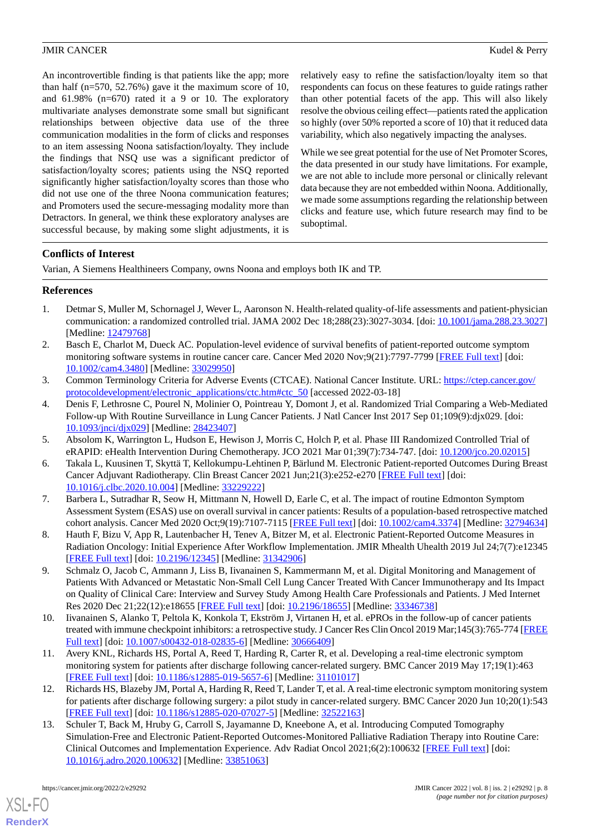An incontrovertible finding is that patients like the app; more than half (n=570, 52.76%) gave it the maximum score of 10, and  $61.98\%$  (n=670) rated it a 9 or 10. The exploratory multivariate analyses demonstrate some small but significant relationships between objective data use of the three communication modalities in the form of clicks and responses to an item assessing Noona satisfaction/loyalty. They include the findings that NSQ use was a significant predictor of satisfaction/loyalty scores; patients using the NSQ reported significantly higher satisfaction/loyalty scores than those who did not use one of the three Noona communication features; and Promoters used the secure-messaging modality more than Detractors. In general, we think these exploratory analyses are successful because, by making some slight adjustments, it is relatively easy to refine the satisfaction/loyalty item so that respondents can focus on these features to guide ratings rather than other potential facets of the app. This will also likely resolve the obvious ceiling effect—patients rated the application so highly (over 50% reported a score of 10) that it reduced data variability, which also negatively impacting the analyses.

While we see great potential for the use of Net Promoter Scores, the data presented in our study have limitations. For example, we are not able to include more personal or clinically relevant data because they are not embedded within Noona. Additionally, we made some assumptions regarding the relationship between clicks and feature use, which future research may find to be suboptimal.

## **Conflicts of Interest**

<span id="page-7-0"></span>Varian, A Siemens Healthineers Company, owns Noona and employs both IK and TP.

## **References**

- <span id="page-7-1"></span>1. Detmar S, Muller M, Schornagel J, Wever L, Aaronson N. Health-related quality-of-life assessments and patient-physician communication: a randomized controlled trial. JAMA 2002 Dec 18;288(23):3027-3034. [doi: [10.1001/jama.288.23.3027](http://dx.doi.org/10.1001/jama.288.23.3027)] [Medline: [12479768](http://www.ncbi.nlm.nih.gov/entrez/query.fcgi?cmd=Retrieve&db=PubMed&list_uids=12479768&dopt=Abstract)]
- <span id="page-7-2"></span>2. Basch E, Charlot M, Dueck AC. Population-level evidence of survival benefits of patient-reported outcome symptom monitoring software systems in routine cancer care. Cancer Med 2020 Nov;9(21):7797-7799 [\[FREE Full text\]](https://doi.org/10.1002/cam4.3480) [doi: [10.1002/cam4.3480\]](http://dx.doi.org/10.1002/cam4.3480) [Medline: [33029950\]](http://www.ncbi.nlm.nih.gov/entrez/query.fcgi?cmd=Retrieve&db=PubMed&list_uids=33029950&dopt=Abstract)
- <span id="page-7-3"></span>3. Common Terminology Criteria for Adverse Events (CTCAE). National Cancer Institute. URL: [https://ctep.cancer.gov/](https://ctep.cancer.gov/protocoldevelopment/electronic_applications/ctc.htm#ctc_50) [protocoldevelopment/electronic\\_applications/ctc.htm#ctc\\_50](https://ctep.cancer.gov/protocoldevelopment/electronic_applications/ctc.htm#ctc_50) [accessed 2022-03-18]
- <span id="page-7-5"></span><span id="page-7-4"></span>4. Denis F, Lethrosne C, Pourel N, Molinier O, Pointreau Y, Domont J, et al. Randomized Trial Comparing a Web-Mediated Follow-up With Routine Surveillance in Lung Cancer Patients. J Natl Cancer Inst 2017 Sep 01;109(9):djx029. [doi: [10.1093/jnci/djx029](http://dx.doi.org/10.1093/jnci/djx029)] [Medline: [28423407](http://www.ncbi.nlm.nih.gov/entrez/query.fcgi?cmd=Retrieve&db=PubMed&list_uids=28423407&dopt=Abstract)]
- <span id="page-7-6"></span>5. Absolom K, Warrington L, Hudson E, Hewison J, Morris C, Holch P, et al. Phase III Randomized Controlled Trial of eRAPID: eHealth Intervention During Chemotherapy. JCO 2021 Mar 01;39(7):734-747. [doi: [10.1200/jco.20.02015](http://dx.doi.org/10.1200/jco.20.02015)]
- 6. Takala L, Kuusinen T, Skyttä T, Kellokumpu-Lehtinen P, Bärlund M. Electronic Patient-reported Outcomes During Breast Cancer Adjuvant Radiotherapy. Clin Breast Cancer 2021 Jun;21(3):e252-e270 [\[FREE Full text\]](https://linkinghub.elsevier.com/retrieve/pii/S1526-8209(20)30263-9) [doi: [10.1016/j.clbc.2020.10.004](http://dx.doi.org/10.1016/j.clbc.2020.10.004)] [Medline: [33229222](http://www.ncbi.nlm.nih.gov/entrez/query.fcgi?cmd=Retrieve&db=PubMed&list_uids=33229222&dopt=Abstract)]
- <span id="page-7-8"></span><span id="page-7-7"></span>7. Barbera L, Sutradhar R, Seow H, Mittmann N, Howell D, Earle C, et al. The impact of routine Edmonton Symptom Assessment System (ESAS) use on overall survival in cancer patients: Results of a population-based retrospective matched cohort analysis. Cancer Med 2020 Oct;9(19):7107-7115 [[FREE Full text\]](https://doi.org/10.1002/cam4.3374) [doi: [10.1002/cam4.3374](http://dx.doi.org/10.1002/cam4.3374)] [Medline: [32794634](http://www.ncbi.nlm.nih.gov/entrez/query.fcgi?cmd=Retrieve&db=PubMed&list_uids=32794634&dopt=Abstract)]
- 8. Hauth F, Bizu V, App R, Lautenbacher H, Tenev A, Bitzer M, et al. Electronic Patient-Reported Outcome Measures in Radiation Oncology: Initial Experience After Workflow Implementation. JMIR Mhealth Uhealth 2019 Jul 24;7(7):e12345 [[FREE Full text](https://mhealth.jmir.org/2019/7/e12345/)] [doi: [10.2196/12345\]](http://dx.doi.org/10.2196/12345) [Medline: [31342906\]](http://www.ncbi.nlm.nih.gov/entrez/query.fcgi?cmd=Retrieve&db=PubMed&list_uids=31342906&dopt=Abstract)
- <span id="page-7-10"></span><span id="page-7-9"></span>9. Schmalz O, Jacob C, Ammann J, Liss B, Iivanainen S, Kammermann M, et al. Digital Monitoring and Management of Patients With Advanced or Metastatic Non-Small Cell Lung Cancer Treated With Cancer Immunotherapy and Its Impact on Quality of Clinical Care: Interview and Survey Study Among Health Care Professionals and Patients. J Med Internet Res 2020 Dec 21;22(12):e18655 [[FREE Full text](https://www.jmir.org/2020/12/e18655/)] [doi: [10.2196/18655](http://dx.doi.org/10.2196/18655)] [Medline: [33346738](http://www.ncbi.nlm.nih.gov/entrez/query.fcgi?cmd=Retrieve&db=PubMed&list_uids=33346738&dopt=Abstract)]
- <span id="page-7-11"></span>10. Iivanainen S, Alanko T, Peltola K, Konkola T, Ekström J, Virtanen H, et al. ePROs in the follow-up of cancer patients treated with immune checkpoint inhibitors: a retrospective study. J Cancer Res Clin Oncol 2019 Mar;145(3):765-774 [\[FREE](http://europepmc.org/abstract/MED/30666409) [Full text\]](http://europepmc.org/abstract/MED/30666409) [doi: [10.1007/s00432-018-02835-6](http://dx.doi.org/10.1007/s00432-018-02835-6)] [Medline: [30666409](http://www.ncbi.nlm.nih.gov/entrez/query.fcgi?cmd=Retrieve&db=PubMed&list_uids=30666409&dopt=Abstract)]
- <span id="page-7-12"></span>11. Avery KNL, Richards HS, Portal A, Reed T, Harding R, Carter R, et al. Developing a real-time electronic symptom monitoring system for patients after discharge following cancer-related surgery. BMC Cancer 2019 May 17;19(1):463 [[FREE Full text](https://bmccancer.biomedcentral.com/articles/10.1186/s12885-019-5657-6)] [doi: [10.1186/s12885-019-5657-6\]](http://dx.doi.org/10.1186/s12885-019-5657-6) [Medline: [31101017](http://www.ncbi.nlm.nih.gov/entrez/query.fcgi?cmd=Retrieve&db=PubMed&list_uids=31101017&dopt=Abstract)]
- 12. Richards HS, Blazeby JM, Portal A, Harding R, Reed T, Lander T, et al. A real-time electronic symptom monitoring system for patients after discharge following surgery: a pilot study in cancer-related surgery. BMC Cancer 2020 Jun 10;20(1):543 [[FREE Full text](https://bmccancer.biomedcentral.com/articles/10.1186/s12885-020-07027-5)] [doi: [10.1186/s12885-020-07027-5\]](http://dx.doi.org/10.1186/s12885-020-07027-5) [Medline: [32522163](http://www.ncbi.nlm.nih.gov/entrez/query.fcgi?cmd=Retrieve&db=PubMed&list_uids=32522163&dopt=Abstract)]
- 13. Schuler T, Back M, Hruby G, Carroll S, Jayamanne D, Kneebone A, et al. Introducing Computed Tomography Simulation-Free and Electronic Patient-Reported Outcomes-Monitored Palliative Radiation Therapy into Routine Care: Clinical Outcomes and Implementation Experience. Adv Radiat Oncol 2021;6(2):100632 [[FREE Full text](https://linkinghub.elsevier.com/retrieve/pii/S2452-1094(20)30362-6)] [doi: [10.1016/j.adro.2020.100632\]](http://dx.doi.org/10.1016/j.adro.2020.100632) [Medline: [33851063\]](http://www.ncbi.nlm.nih.gov/entrez/query.fcgi?cmd=Retrieve&db=PubMed&list_uids=33851063&dopt=Abstract)

[XSL](http://www.w3.org/Style/XSL)•FO **[RenderX](http://www.renderx.com/)**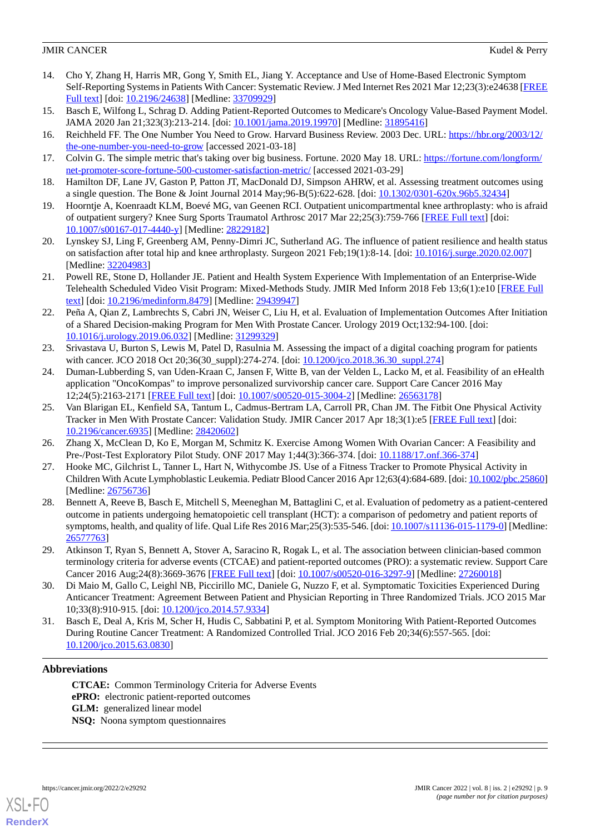- <span id="page-8-0"></span>14. Cho Y, Zhang H, Harris MR, Gong Y, Smith EL, Jiang Y. Acceptance and Use of Home-Based Electronic Symptom Self-Reporting Systems in Patients With Cancer: Systematic Review. J Med Internet Res 2021 Mar 12;23(3):e24638 [\[FREE](https://www.jmir.org/2021/3/e24638/) [Full text\]](https://www.jmir.org/2021/3/e24638/) [doi: [10.2196/24638\]](http://dx.doi.org/10.2196/24638) [Medline: [33709929](http://www.ncbi.nlm.nih.gov/entrez/query.fcgi?cmd=Retrieve&db=PubMed&list_uids=33709929&dopt=Abstract)]
- <span id="page-8-2"></span><span id="page-8-1"></span>15. Basch E, Wilfong L, Schrag D. Adding Patient-Reported Outcomes to Medicare's Oncology Value-Based Payment Model. JAMA 2020 Jan 21;323(3):213-214. [doi: [10.1001/jama.2019.19970\]](http://dx.doi.org/10.1001/jama.2019.19970) [Medline: [31895416](http://www.ncbi.nlm.nih.gov/entrez/query.fcgi?cmd=Retrieve&db=PubMed&list_uids=31895416&dopt=Abstract)]
- <span id="page-8-3"></span>16. Reichheld FF. The One Number You Need to Grow. Harvard Business Review. 2003 Dec. URL: [https://hbr.org/2003/12/](https://hbr.org/2003/12/the-one-number-you-need-to-grow) [the-one-number-you-need-to-grow](https://hbr.org/2003/12/the-one-number-you-need-to-grow) [accessed 2021-03-18]
- <span id="page-8-4"></span>17. Colvin G. The simple metric that's taking over big business. Fortune. 2020 May 18. URL: [https://fortune.com/longform/](https://fortune.com/longform/net-promoter-score-fortune-500-customer-satisfaction-metric/) [net-promoter-score-fortune-500-customer-satisfaction-metric/](https://fortune.com/longform/net-promoter-score-fortune-500-customer-satisfaction-metric/) [accessed 2021-03-29]
- 18. Hamilton DF, Lane JV, Gaston P, Patton JT, MacDonald DJ, Simpson AHRW, et al. Assessing treatment outcomes using a single question. The Bone & Joint Journal 2014 May;96-B(5):622-628. [doi: [10.1302/0301-620x.96b5.32434\]](http://dx.doi.org/10.1302/0301-620x.96b5.32434)
- <span id="page-8-5"></span>19. Hoorntje A, Koenraadt KLM, Boevé MG, van Geenen RCI. Outpatient unicompartmental knee arthroplasty: who is afraid of outpatient surgery? Knee Surg Sports Traumatol Arthrosc 2017 Mar 22;25(3):759-766 [[FREE Full text](http://europepmc.org/abstract/MED/28229182)] [doi: [10.1007/s00167-017-4440-y\]](http://dx.doi.org/10.1007/s00167-017-4440-y) [Medline: [28229182](http://www.ncbi.nlm.nih.gov/entrez/query.fcgi?cmd=Retrieve&db=PubMed&list_uids=28229182&dopt=Abstract)]
- <span id="page-8-6"></span>20. Lynskey SJ, Ling F, Greenberg AM, Penny-Dimri JC, Sutherland AG. The influence of patient resilience and health status on satisfaction after total hip and knee arthroplasty. Surgeon 2021 Feb;19(1):8-14. [doi: [10.1016/j.surge.2020.02.007](http://dx.doi.org/10.1016/j.surge.2020.02.007)] [Medline: [32204983](http://www.ncbi.nlm.nih.gov/entrez/query.fcgi?cmd=Retrieve&db=PubMed&list_uids=32204983&dopt=Abstract)]
- <span id="page-8-7"></span>21. Powell RE, Stone D, Hollander JE. Patient and Health System Experience With Implementation of an Enterprise-Wide Telehealth Scheduled Video Visit Program: Mixed-Methods Study. JMIR Med Inform 2018 Feb 13;6(1):e10 [[FREE Full](https://medinform.jmir.org/2018/1/e10/) [text](https://medinform.jmir.org/2018/1/e10/)] [doi: [10.2196/medinform.8479\]](http://dx.doi.org/10.2196/medinform.8479) [Medline: [29439947\]](http://www.ncbi.nlm.nih.gov/entrez/query.fcgi?cmd=Retrieve&db=PubMed&list_uids=29439947&dopt=Abstract)
- <span id="page-8-8"></span>22. Peña A, Qian Z, Lambrechts S, Cabri JN, Weiser C, Liu H, et al. Evaluation of Implementation Outcomes After Initiation of a Shared Decision-making Program for Men With Prostate Cancer. Urology 2019 Oct;132:94-100. [doi: [10.1016/j.urology.2019.06.032](http://dx.doi.org/10.1016/j.urology.2019.06.032)] [Medline: [31299329\]](http://www.ncbi.nlm.nih.gov/entrez/query.fcgi?cmd=Retrieve&db=PubMed&list_uids=31299329&dopt=Abstract)
- <span id="page-8-9"></span>23. Srivastava U, Burton S, Lewis M, Patel D, Rasulnia M. Assessing the impact of a digital coaching program for patients with cancer. JCO 2018 Oct 20;36(30\_suppl):274-274. [doi: [10.1200/jco.2018.36.30\\_suppl.274\]](http://dx.doi.org/10.1200/jco.2018.36.30_suppl.274)
- <span id="page-8-10"></span>24. Duman-Lubberding S, van Uden-Kraan C, Jansen F, Witte B, van der Velden L, Lacko M, et al. Feasibility of an eHealth application "OncoKompas" to improve personalized survivorship cancer care. Support Care Cancer 2016 May 12;24(5):2163-2171 [[FREE Full text](http://europepmc.org/abstract/MED/26563178)] [doi: [10.1007/s00520-015-3004-2\]](http://dx.doi.org/10.1007/s00520-015-3004-2) [Medline: [26563178](http://www.ncbi.nlm.nih.gov/entrez/query.fcgi?cmd=Retrieve&db=PubMed&list_uids=26563178&dopt=Abstract)]
- <span id="page-8-11"></span>25. Van Blarigan EL, Kenfield SA, Tantum L, Cadmus-Bertram LA, Carroll PR, Chan JM. The Fitbit One Physical Activity Tracker in Men With Prostate Cancer: Validation Study. JMIR Cancer 2017 Apr 18;3(1):e5 [[FREE Full text](https://cancer.jmir.org/2017/1/e5/)] [doi: [10.2196/cancer.6935\]](http://dx.doi.org/10.2196/cancer.6935) [Medline: [28420602\]](http://www.ncbi.nlm.nih.gov/entrez/query.fcgi?cmd=Retrieve&db=PubMed&list_uids=28420602&dopt=Abstract)
- <span id="page-8-12"></span>26. Zhang X, McClean D, Ko E, Morgan M, Schmitz K. Exercise Among Women With Ovarian Cancer: A Feasibility and Pre-/Post-Test Exploratory Pilot Study. ONF 2017 May 1;44(3):366-374. [doi: [10.1188/17.onf.366-374\]](http://dx.doi.org/10.1188/17.onf.366-374)
- 27. Hooke MC, Gilchrist L, Tanner L, Hart N, Withycombe JS. Use of a Fitness Tracker to Promote Physical Activity in Children With Acute Lymphoblastic Leukemia. Pediatr Blood Cancer 2016 Apr 12;63(4):684-689. [doi: [10.1002/pbc.25860\]](http://dx.doi.org/10.1002/pbc.25860) [Medline: [26756736](http://www.ncbi.nlm.nih.gov/entrez/query.fcgi?cmd=Retrieve&db=PubMed&list_uids=26756736&dopt=Abstract)]
- <span id="page-8-13"></span>28. Bennett A, Reeve B, Basch E, Mitchell S, Meeneghan M, Battaglini C, et al. Evaluation of pedometry as a patient-centered outcome in patients undergoing hematopoietic cell transplant (HCT): a comparison of pedometry and patient reports of symptoms, health, and quality of life. Qual Life Res 2016 Mar;25(3):535-546. [doi: [10.1007/s11136-015-1179-0](http://dx.doi.org/10.1007/s11136-015-1179-0)] [Medline: [26577763](http://www.ncbi.nlm.nih.gov/entrez/query.fcgi?cmd=Retrieve&db=PubMed&list_uids=26577763&dopt=Abstract)]
- <span id="page-8-15"></span><span id="page-8-14"></span>29. Atkinson T, Ryan S, Bennett A, Stover A, Saracino R, Rogak L, et al. The association between clinician-based common terminology criteria for adverse events (CTCAE) and patient-reported outcomes (PRO): a systematic review. Support Care Cancer 2016 Aug;24(8):3669-3676 [\[FREE Full text\]](http://europepmc.org/abstract/MED/27260018) [doi: [10.1007/s00520-016-3297-9](http://dx.doi.org/10.1007/s00520-016-3297-9)] [Medline: [27260018](http://www.ncbi.nlm.nih.gov/entrez/query.fcgi?cmd=Retrieve&db=PubMed&list_uids=27260018&dopt=Abstract)]
- 30. Di Maio M, Gallo C, Leighl NB, Piccirillo MC, Daniele G, Nuzzo F, et al. Symptomatic Toxicities Experienced During Anticancer Treatment: Agreement Between Patient and Physician Reporting in Three Randomized Trials. JCO 2015 Mar 10;33(8):910-915. [doi: [10.1200/jco.2014.57.9334](http://dx.doi.org/10.1200/jco.2014.57.9334)]
- 31. Basch E, Deal A, Kris M, Scher H, Hudis C, Sabbatini P, et al. Symptom Monitoring With Patient-Reported Outcomes During Routine Cancer Treatment: A Randomized Controlled Trial. JCO 2016 Feb 20;34(6):557-565. [doi: [10.1200/jco.2015.63.0830\]](http://dx.doi.org/10.1200/jco.2015.63.0830)

## **Abbreviations**

**CTCAE:** Common Terminology Criteria for Adverse Events **ePRO:** electronic patient-reported outcomes **GLM:** generalized linear model **NSQ:** Noona symptom questionnaires